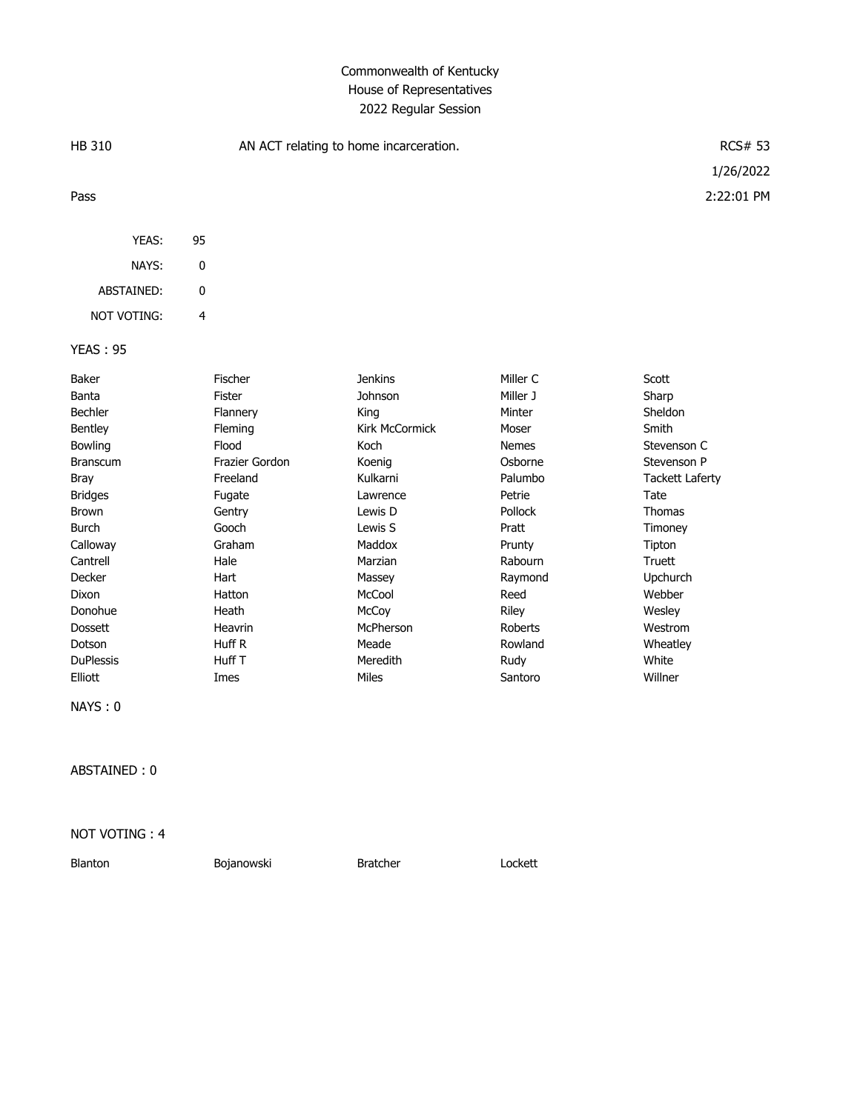## Commonwealth of Kentucky House of Representatives 2022 Regular Session

| HB 310          |    | AN ACT relating to home incarceration. | <b>RCS# 53</b> |  |
|-----------------|----|----------------------------------------|----------------|--|
|                 |    |                                        | 1/26/2022      |  |
| Pass            |    |                                        | 2:22:01 PM     |  |
| YEAS:           | 95 |                                        |                |  |
| NAYS:           | 0  |                                        |                |  |
| ABSTAINED:      | 0  |                                        |                |  |
| NOT VOTING:     | 4  |                                        |                |  |
| <b>YEAS: 95</b> |    |                                        |                |  |

| Baker            | Fischer        | Jenkins               | Miller C       | Scott                  |
|------------------|----------------|-----------------------|----------------|------------------------|
| Banta            | Fister         | Johnson               | Miller J       | Sharp                  |
| <b>Bechler</b>   | Flannery       | King                  | Minter         | Sheldon                |
| <b>Bentley</b>   | Fleming        | <b>Kirk McCormick</b> | Moser          | Smith                  |
| <b>Bowling</b>   | Flood          | Koch                  | <b>Nemes</b>   | Stevenson C            |
| <b>Branscum</b>  | Frazier Gordon | Koenig                | Osborne        | Stevenson P            |
| Bray             | Freeland       | Kulkarni              | Palumbo        | <b>Tackett Laferty</b> |
| <b>Bridges</b>   | Fugate         | Lawrence              | Petrie         | Tate                   |
| Brown            | Gentry         | Lewis D               | <b>Pollock</b> | Thomas                 |
| Burch            | Gooch          | Lewis S               | Pratt          | Timoney                |
| Calloway         | Graham         | Maddox                | Prunty         | Tipton                 |
| Cantrell         | Hale           | Marzian               | Rabourn        | Truett                 |
| Decker           | Hart           | Massey                | Raymond        | <b>Upchurch</b>        |
| Dixon            | Hatton         | McCool                | Reed           | Webber                 |
| Donohue          | Heath          | McCoy                 | Riley          | Wesley                 |
| <b>Dossett</b>   | Heavrin        | McPherson             | Roberts        | Westrom                |
| Dotson           | Huff R         | Meade                 | Rowland        | Wheatley               |
| <b>DuPlessis</b> | Huff T         | Meredith              | Rudy           | White                  |
| Elliott          | Imes           | Miles                 | Santoro        | Willner                |

NAYS : 0

ABSTAINED : 0

NOT VOTING : 4

Blanton Bojanowski Bratcher Lockett